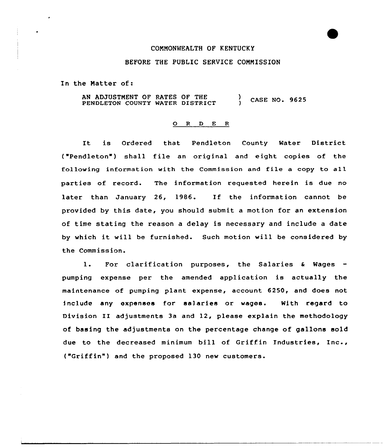## COMMONWEALTH OF KENTUCKY

## BEFORE THE PUBLIC SERVICE COMMISSION

In the Matter of:

AN ADJUSTMENT OF RATES OF THE PENDLETON COUNTY WATER DISTRICT ) CASE NO. 9625

## O R D E R

It is Ordered that Pendleton County Water District ("Pendleton") shall file an original and eight copies of the following information with the Commission and file <sup>a</sup> copy to all parties of record. The information requested herein is due no later than January 26, 1986. If the information cannot be provided by this date, you should submit a motion for an extension of time stating the reason a delay is necessary and include a date by which it will be furnished. Such motion will be considered by the Commission.

1. For clarification purposes, the Salaries & Wages pumping expense per the amended application is actu<mark>ally</mark> the maintenance of pumping plant expense, account 6250, and does not include any expenses for salaries or wages. With regard to Division II adjustments 3a and 12, please explain the methodology of basing the adjustments on the percentage change of gallons sold due to the decreased minimum bill of Griffin Industr<mark>ies, Inc.</mark>, ("Griffin" ) and the proposed <sup>130</sup> new customers.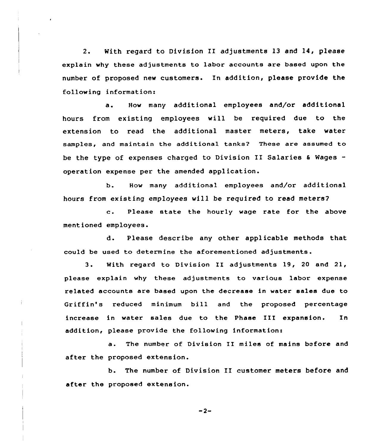2. With regard to Division II adjustments 13 and 14, please explain why these adjustments to labor accounts are based upon the number of proposed new customers. In addition, please provide the following information:

a. How many additional employees and/or additional hours from existing employees will be required due to the extension to read the additional master meters, take water samples, and maintain the additional tanks? These are assumed to be the type of expenses charged to Division II Salaries  $6$  Wages operation expense per the amended application.

b. Haw many additional employees and/or additional hours from existing employees will be required to read meters?

c. Please state the hourly wage rate for the above mentioned employees.

d. Please describe any other applicable methods that could be used to determine the aforementioned adjustments.

3. With regard to Division II adjustments 19, <sup>20</sup> and 21, please explain why these adjustments to various labor expense related accounts are based upon the decrease in water sales due to Griffin's reduced minimum bill and the proposed percentage increase in water sales due to the Phase III expansion. In addition, please provide the following information:

a. The number of Division II miles of mains before and after the proposed extension.

b. The number of Division II customer meters before and after the proposed extension.

 $-2-$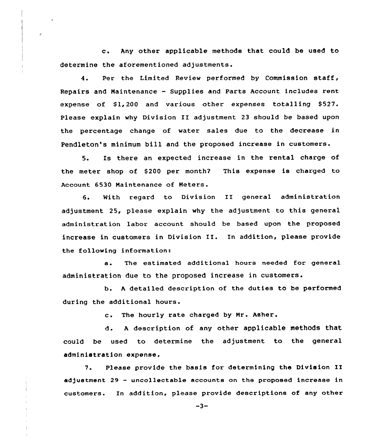c. Any other applicable methods that could be used to determine the aforementioned adjustments.

4. Per the Limited Review performed by Commission staff, Repairs and Maintenance — Supplies and Parts Account includes rent expense of \$1,200 and various other expenses totalling \$527. Please explain why Division II adjustment <sup>23</sup> should be based upon the percentage change of water sales due to the decrease in Pendleton's minimum bill and the proposed increase in customers.

5. Is there an expected increase in the rental charge of the meter shop of \$200 per month? This expense is charged to Account 6530 Maintenance of Meters.

6. With regard to Division II general administration adjustment 25, please explain why the adjustment to this general administration labor account should be based upon the proposed increase in customers in Division II. In addition, please provide the following information:

a. The estimated additional hours needed for general administration due to the proposed increase in customers.

b. <sup>A</sup> detailed description of the duties to be performed during the additional hours.

c. The hourly rate charged by Nr. Asher.

d. <sup>A</sup> description of any other applicable methods that could be used to determine the adjustment to the general administration expense.

7. Please provide the basis for determining the Division II adjustment 29 — uncollectable accounts on the proposed increase in customers. In addition, please provide descriptions of any other

ì

 $\frac{1}{2}$ 

 $-3-$